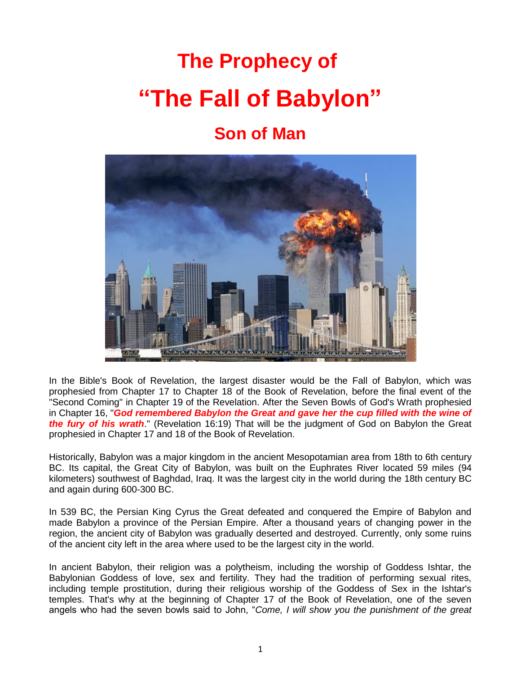# **The Prophecy of "The Fall of Babylon"**

# **Son of Man**



In the Bible's Book of Revelation, the largest disaster would be the Fall of Babylon, which was prophesied from Chapter 17 to Chapter 18 of the Book of Revelation, before the final event of the "Second Coming" in Chapter 19 of the Revelation. After the Seven Bowls of God's Wrath prophesied in Chapter 16, "God remembered Babylon the Great and gave her the cup filled with the wine of *the fury of his wrath*." (Revelation 16:19) That will be the judgment of God on Babylon the Great prophesied in Chapter 17 and 18 of the Book of Revelation.

Historically, Babylon was a major kingdom in the ancient Mesopotamian area from 18th to 6th century BC. Its capital, the Great City of Babylon, was built on the Euphrates River located 59 miles (94 kilometers) southwest of Baghdad, Iraq. It was the largest city in the world during the 18th century BC and again during 600-300 BC.

In 539 BC, the Persian King Cyrus the Great defeated and conquered the Empire of Babylon and made Babylon a province of the Persian Empire. After a thousand years of changing power in the region, the ancient city of Babylon was gradually deserted and destroyed. Currently, only some ruins of the ancient city left in the area where used to be the largest city in the world.

In ancient Babylon, their religion was a polytheism, including the worship of Goddess Ishtar, the Babylonian Goddess of love, sex and fertility. They had the tradition of performing sexual rites, including temple prostitution, during their religious worship of the Goddess of Sex in the Ishtar's temples. That's why at the beginning of Chapter 17 of the Book of Revelation, one of the seven angels who had the seven bowls said to John, "*Come, I will show you the punishment of the great*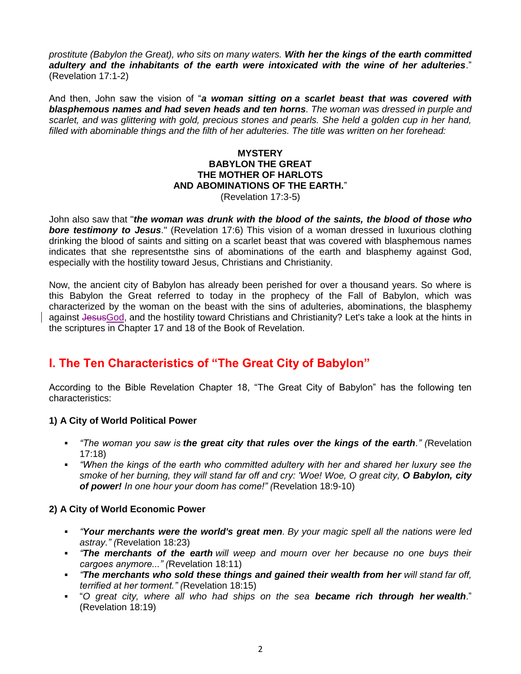*prostitute (Babylon the Great), who sits on many waters. With her the kings of the earth committed adultery and the inhabitants of the earth were intoxicated with the wine of her adulteries*." (Revelation 17:1-2)

And then, John saw the vision of "*a woman sitting on a scarlet beast that was covered with blasphemous names and had seven heads and ten horns. The woman was dressed in purple and scarlet, and was glittering with gold, precious stones and pearls. She held a golden cup in her hand, filled with abominable things and the filth of her adulteries. The title was written on her forehead:*

#### **MYSTERY BABYLON THE GREAT THE MOTHER OF HARLOTS AND ABOMINATIONS OF THE EARTH.**"

(Revelation 17:3-5)

John also saw that "*the woman was drunk with the blood of the saints, the blood of those who bore testimony to Jesus*." (Revelation 17:6) This vision of a woman dressed in luxurious clothing drinking the blood of saints and sitting on a scarlet beast that was covered with blasphemous names indicates that she representsthe sins of abominations of the earth and blasphemy against God, especially with the hostility toward Jesus, Christians and Christianity.

Now, the ancient city of Babylon has already been perished for over a thousand years. So where is this Babylon the Great referred to today in the prophecy of the Fall of Babylon, which was characterized by the woman on the beast with the sins of adulteries, abominations, the blasphemy against JesusGod, and the hostility toward Christians and Christianity? Let's take a look at the hints in the scriptures in Chapter 17 and 18 of the Book of Revelation.

# **I. The Ten Characteristics of "The Great City of Babylon"**

According to the Bible Revelation Chapter 18, "The Great City of Babylon" has the following ten characteristics:

#### **1) A City of World Political Power**

- *"The woman you saw is the great city that rules over the kings of the earth." (*Revelation 17:18)
- *"When the kings of the earth who committed adultery with her and shared her luxury see the smoke of her burning, they will stand far off and cry: 'Woe! Woe, O great city, O Babylon, city of power! In one hour your doom has come!" (*Revelation 18:9-10)

#### **2) A City of World Economic Power**

- *"Your merchants were the world's great men. By your magic spell all the nations were led astray." (*Revelation 18:23)
- *"The merchants of the earth will weep and mourn over her because no one buys their cargoes anymore..." (*Revelation 18:11)
- *"The merchants who sold these things and gained their wealth from her will stand far off, terrified at her torment." (*Revelation 18:15)
- "*O great city, where all who had ships on the sea became rich through her wealth*." (Revelation 18:19)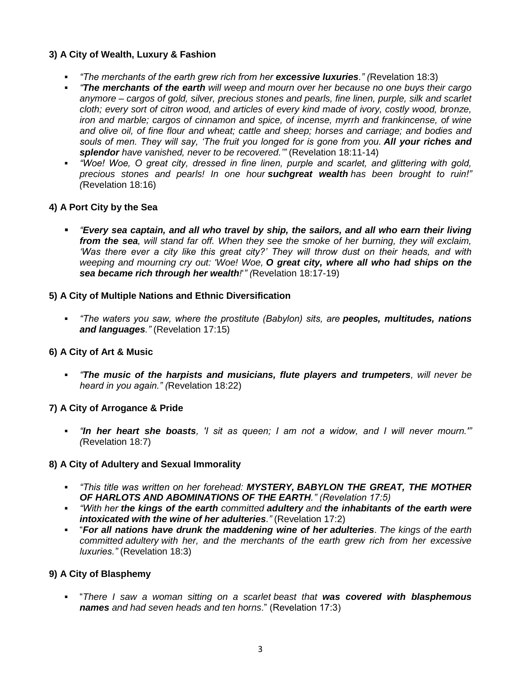#### **3) A City of Wealth, Luxury & Fashion**

- *"The merchants of the earth grew rich from her excessive luxuries." (*Revelation 18:3)
- *"The merchants of the earth will weep and mourn over her because no one buys their cargo anymore – cargos of gold, silver, precious stones and pearls, fine linen, purple, silk and scarlet cloth; every sort of citron wood, and articles of every kind made of ivory, costly wood, bronze, iron and marble; cargos of cinnamon and spice, of incense, myrrh and frankincense, of wine and olive oil, of fine flour and wheat; cattle and sheep; horses and carriage; and bodies and souls of men. They will say, "The fruit you longed for is gone from you. All your riches and splendor have vanished, never to be recovered.""* (Revelation 18:11-14)
- *"Woe! Woe, O great city, dressed in fine linen, purple and scarlet, and glittering with gold, precious stones and pearls! In one hour suchgreat wealth has been brought to ruin!" (*Revelation 18:16)

#### **4) A Port City by the Sea**

 *"Every sea captain, and all who travel by ship, the sailors, and all who earn their living from the sea, will stand far off. When they see the smoke of her burning, they will exclaim, "Was there ever a city like this great city?" They will throw dust on their heads, and with weeping and mourning cry out: 'Woe! Woe, O great city, where all who had ships on the sea became rich through her wealth!*'*" (*Revelation 18:17-19)

#### **5) A City of Multiple Nations and Ethnic Diversification**

 *"The waters you saw, where the prostitute (Babylon) sits, are peoples, multitudes, nations and languages."* (Revelation 17:15)

#### **6) A City of Art & Music**

 *"The music of the harpists and musicians, flute players and trumpeters, will never be heard in you again." (*Revelation 18:22)

#### **7) A City of Arrogance & Pride**

 *"In her heart she boasts, 'I sit as queen; I am not a widow, and I will never mourn.'" (*Revelation 18:7)

#### **8) A City of Adultery and Sexual Immorality**

- *"This title was written on her forehead: MYSTERY, BABYLON THE GREAT, THE MOTHER OF HARLOTS AND ABOMINATIONS OF THE EARTH." (Revelation 17:5)*
- *"With her the kings of the earth committed adultery and the inhabitants of the earth were intoxicated with the wine of her adulteries*.*"* (Revelation 17:2)
- "*For all nations have drunk the maddening wine of her adulteries*. *The kings of the earth committed adultery with her, and the merchants of the earth grew rich from her excessive luxuries."* (Revelation 18:3)

#### **9) A City of Blasphemy**

 "*There I saw a woman sitting on a scarlet beast that was covered with blasphemous names and had seven heads and ten horns*." (Revelation 17:3)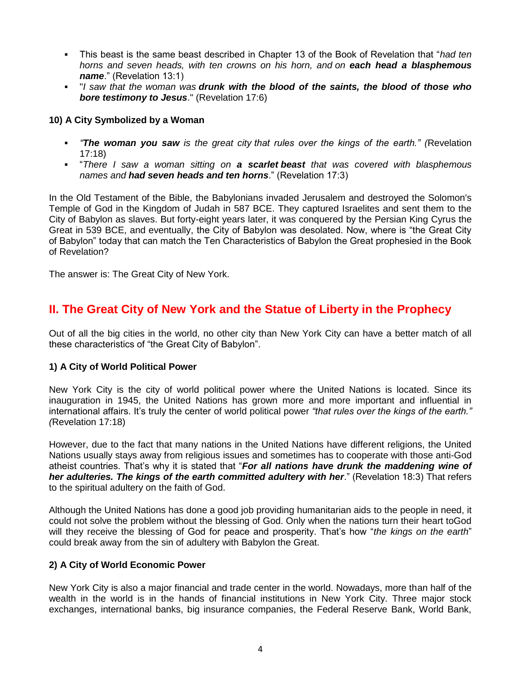- This beast is the same beast described in Chapter 13 of the Book of Revelation that "*had ten horns and seven heads, with ten crowns on his horn, and on each head a blasphemous name*." (Revelation 13:1)
- "*I saw that the woman was drunk with the blood of the saints, the blood of those who bore testimony to Jesus*." (Revelation 17:6)

#### **10) A City Symbolized by a Woman**

- *"The woman you saw is the great city that rules over the kings of the earth." (*Revelation 17:18)
- "*There I saw a woman sitting on a scarlet beast that was covered with blasphemous names and had seven heads and ten horns*." (Revelation 17:3)

In the Old Testament of the Bible, the Babylonians invaded Jerusalem and destroyed the Solomon's Temple of God in the Kingdom of Judah in 587 BCE. They captured Israelites and sent them to the City of Babylon as slaves. But forty-eight years later, it was conquered by the Persian King Cyrus the Great in 539 BCE, and eventually, the City of Babylon was desolated. Now, where is "the Great City of Babylon" today that can match the Ten Characteristics of Babylon the Great prophesied in the Book of Revelation?

The answer is: The Great City of New York.

# **II. The Great City of New York and the Statue of Liberty in the Prophecy**

Out of all the big cities in the world, no other city than New York City can have a better match of all these characteristics of "the Great City of Babylon".

#### **1) A City of World Political Power**

New York City is the city of world political power where the United Nations is located. Since its inauguration in 1945, the United Nations has grown more and more important and influential in international affairs. It's truly the center of world political power *"that rules over the kings of the earth." (*Revelation 17:18)

However, due to the fact that many nations in the United Nations have different religions, the United Nations usually stays away from religious issues and sometimes has to cooperate with those anti-God atheist countries. That's why it is stated that "*For all nations have drunk the maddening wine of*  her adulteries. The kings of the earth committed adultery with her." (Revelation 18:3) That refers to the spiritual adultery on the faith of God.

Although the United Nations has done a good job providing humanitarian aids to the people in need, it could not solve the problem without the blessing of God. Only when the nations turn their heart toGod will they receive the blessing of God for peace and prosperity. That's how "*the kings on the earth*" could break away from the sin of adultery with Babylon the Great.

#### **2) A City of World Economic Power**

New York City is also a major financial and trade center in the world. Nowadays, more than half of the wealth in the world is in the hands of financial institutions in New York City. Three major stock exchanges, international banks, big insurance companies, the Federal Reserve Bank, World Bank,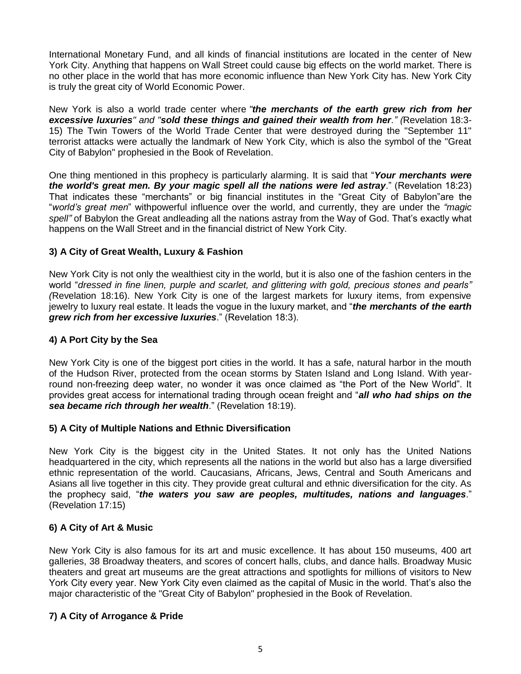International Monetary Fund, and all kinds of financial institutions are located in the center of New York City. Anything that happens on Wall Street could cause big effects on the world market. There is no other place in the world that has more economic influence than New York City has. New York City is truly the great city of World Economic Power.

New York is also a world trade center where *"the merchants of the earth grew rich from her excessive luxuries" and "sold these things and gained their wealth from her." (*Revelation 18:3- 15) The Twin Towers of the World Trade Center that were destroyed during the "September 11" terrorist attacks were actually the landmark of New York City, which is also the symbol of the "Great City of Babylon" prophesied in the Book of Revelation.

One thing mentioned in this prophecy is particularly alarming. It is said that "*Your merchants were the world's great men. By your magic spell all the nations were led astray*." (Revelation 18:23) That indicates these "merchants" or big financial institutes in the "Great City of Babylon"are the "*world"s great men*" withpowerful influence over the world, and currently, they are under the *"magic spell"* of Babylon the Great andleading all the nations astray from the Way of God. That's exactly what happens on the Wall Street and in the financial district of New York City.

#### **3) A City of Great Wealth, Luxury & Fashion**

New York City is not only the wealthiest city in the world, but it is also one of the fashion centers in the world "*dressed in fine linen, purple and scarlet, and glittering with gold, precious stones and pearls" (*Revelation 18:16). New York City is one of the largest markets for luxury items, from expensive jewelry to luxury real estate. It leads the vogue in the luxury market, and "*the merchants of the earth grew rich from her excessive luxuries*." (Revelation 18:3).

#### **4) A Port City by the Sea**

New York City is one of the biggest port cities in the world. It has a safe, natural harbor in the mouth of the Hudson River, protected from the ocean storms by Staten Island and Long Island. With yearround non-freezing deep water, no wonder it was once claimed as "the Port of the New World". It provides great access for international trading through ocean freight and "*all who had ships on the sea became rich through her wealth*." (Revelation 18:19).

#### **5) A City of Multiple Nations and Ethnic Diversification**

New York City is the biggest city in the United States. It not only has the United Nations headquartered in the city, which represents all the nations in the world but also has a large diversified ethnic representation of the world. Caucasians, Africans, Jews, Central and South Americans and Asians all live together in this city. They provide great cultural and ethnic diversification for the city. As the prophecy said, "*the waters you saw are peoples, multitudes, nations and languages*." (Revelation 17:15)

#### **6) A City of Art & Music**

New York City is also famous for its art and music excellence. It has about 150 museums, 400 art galleries, 38 Broadway theaters, and scores of concert halls, clubs, and dance halls. Broadway Music theaters and great art museums are the great attractions and spotlights for millions of visitors to New York City every year. New York City even claimed as the capital of Music in the world. That's also the major characteristic of the "Great City of Babylon" prophesied in the Book of Revelation.

#### **7) A City of Arrogance & Pride**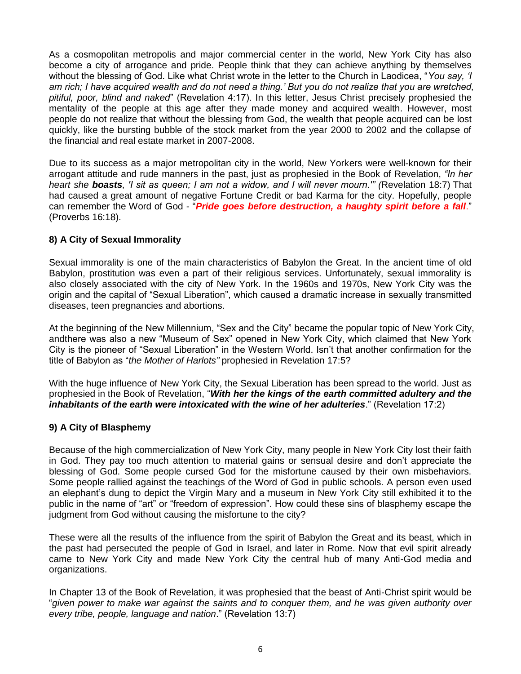As a cosmopolitan metropolis and major commercial center in the world, New York City has also become a city of arrogance and pride. People think that they can achieve anything by themselves without the blessing of God. Like what Christ wrote in the letter to the Church in Laodicea, "*You say, "I am rich; I have acquired wealth and do not need a thing." But you do not realize that you are wretched, pitiful, poor, blind and naked*" (Revelation 4:17). In this letter, Jesus Christ precisely prophesied the mentality of the people at this age after they made money and acquired wealth. However, most people do not realize that without the blessing from God, the wealth that people acquired can be lost quickly, like the bursting bubble of the stock market from the year 2000 to 2002 and the collapse of the financial and real estate market in 2007-2008.

Due to its success as a major metropolitan city in the world, New Yorkers were well-known for their arrogant attitude and rude manners in the past, just as prophesied in the Book of Revelation, *"In her heart she boasts, 'I sit as queen; I am not a widow, and I will never mourn.'" (*Revelation 18:7) That had caused a great amount of negative Fortune Credit or bad Karma for the city. Hopefully, people can remember the Word of God - "*Pride goes before destruction, a haughty spirit before a fall*." (Proverbs 16:18).

#### **8) A City of Sexual Immorality**

Sexual immorality is one of the main characteristics of Babylon the Great. In the ancient time of old Babylon, prostitution was even a part of their religious services. Unfortunately, sexual immorality is also closely associated with the city of New York. In the 1960s and 1970s, New York City was the origin and the capital of "Sexual Liberation", which caused a dramatic increase in sexually transmitted diseases, teen pregnancies and abortions.

At the beginning of the New Millennium, "Sex and the City" became the popular topic of New York City, andthere was also a new "Museum of Sex" opened in New York City, which claimed that New York City is the pioneer of "Sexual Liberation" in the Western World. Isn't that another confirmation for the title of Babylon as "*the Mother of Harlots"* prophesied in Revelation 17:5?

With the huge influence of New York City, the Sexual Liberation has been spread to the world. Just as prophesied in the Book of Revelation, "*With her the kings of the earth committed adultery and the inhabitants of the earth were intoxicated with the wine of her adulteries*." (Revelation 17:2)

#### **9) A City of Blasphemy**

Because of the high commercialization of New York City, many people in New York City lost their faith in God. They pay too much attention to material gains or sensual desire and don't appreciate the blessing of God. Some people cursed God for the misfortune caused by their own misbehaviors. Some people rallied against the teachings of the Word of God in public schools. A person even used an elephant's dung to depict the Virgin Mary and a museum in New York City still exhibited it to the public in the name of "art" or "freedom of expression". How could these sins of blasphemy escape the judgment from God without causing the misfortune to the city?

These were all the results of the influence from the spirit of Babylon the Great and its beast, which in the past had persecuted the people of God in Israel, and later in Rome. Now that evil spirit already came to New York City and made New York City the central hub of many Anti-God media and organizations.

In Chapter 13 of the Book of Revelation, it was prophesied that the beast of Anti-Christ spirit would be "*given power to make war against the saints and to conquer them, and he was given authority over every tribe, people, language and nation*." (Revelation 13:7)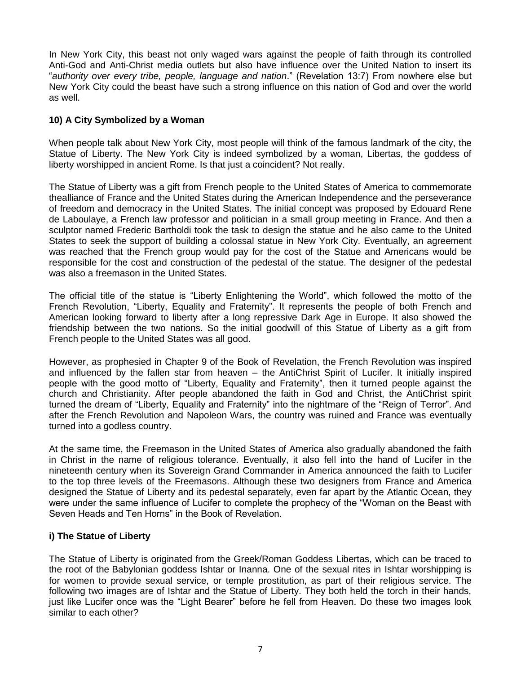In New York City, this beast not only waged wars against the people of faith through its controlled Anti-God and Anti-Christ media outlets but also have influence over the United Nation to insert its "*authority over every tribe, people, language and nation*." (Revelation 13:7) From nowhere else but New York City could the beast have such a strong influence on this nation of God and over the world as well.

#### **10) A City Symbolized by a Woman**

When people talk about New York City, most people will think of the famous landmark of the city, the Statue of Liberty. The New York City is indeed symbolized by a woman, Libertas, the goddess of liberty worshipped in ancient Rome. Is that just a coincident? Not really.

The Statue of Liberty was a gift from French people to the United States of America to commemorate thealliance of France and the United States during the American Independence and the perseverance of freedom and democracy in the United States. The initial concept was proposed by Edouard Rene de Laboulaye, a French law professor and politician in a small group meeting in France. And then a sculptor named Frederic Bartholdi took the task to design the statue and he also came to the United States to seek the support of building a colossal statue in New York City. Eventually, an agreement was reached that the French group would pay for the cost of the Statue and Americans would be responsible for the cost and construction of the pedestal of the statue. The designer of the pedestal was also a freemason in the United States.

The official title of the statue is "Liberty Enlightening the World", which followed the motto of the French Revolution, "Liberty, Equality and Fraternity". It represents the people of both French and American looking forward to liberty after a long repressive Dark Age in Europe. It also showed the friendship between the two nations. So the initial goodwill of this Statue of Liberty as a gift from French people to the United States was all good.

However, as prophesied in Chapter 9 of the Book of Revelation, the French Revolution was inspired and influenced by the fallen star from heaven – the AntiChrist Spirit of Lucifer. It initially inspired people with the good motto of "Liberty, Equality and Fraternity", then it turned people against the church and Christianity. After people abandoned the faith in God and Christ, the AntiChrist spirit turned the dream of "Liberty, Equality and Fraternity" into the nightmare of the "Reign of Terror". And after the French Revolution and Napoleon Wars, the country was ruined and France was eventually turned into a godless country.

At the same time, the Freemason in the United States of America also gradually abandoned the faith in Christ in the name of religious tolerance. Eventually, it also fell into the hand of Lucifer in the nineteenth century when its Sovereign Grand Commander in America announced the faith to Lucifer to the top three levels of the Freemasons. Although these two designers from France and America designed the Statue of Liberty and its pedestal separately, even far apart by the Atlantic Ocean, they were under the same influence of Lucifer to complete the prophecy of the "Woman on the Beast with Seven Heads and Ten Horns" in the Book of Revelation.

#### **i) The Statue of Liberty**

The Statue of Liberty is originated from the Greek/Roman Goddess Libertas, which can be traced to the root of the Babylonian goddess Ishtar or Inanna. One of the sexual rites in Ishtar worshipping is for women to provide sexual service, or temple prostitution, as part of their religious service. The following two images are of Ishtar and the Statue of Liberty. They both held the torch in their hands, just like Lucifer once was the "Light Bearer" before he fell from Heaven. Do these two images look similar to each other?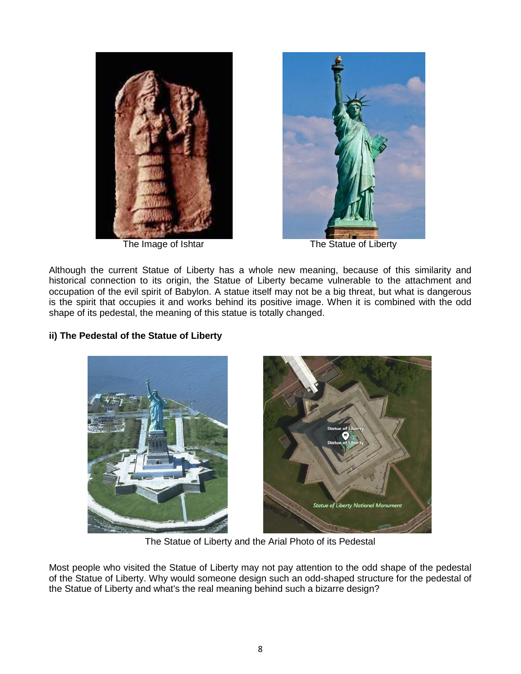



The Image of Ishtar The Statue of Liberty

Although the current Statue of Liberty has a whole new meaning, because of this similarity and historical connection to its origin, the Statue of Liberty became vulnerable to the attachment and occupation of the evil spirit of Babylon. A statue itself may not be a big threat, but what is dangerous is the spirit that occupies it and works behind its positive image. When it is combined with the odd shape of its pedestal, the meaning of this statue is totally changed.

#### **ii) The Pedestal of the Statue of Liberty**



The Statue of Liberty and the Arial Photo of its Pedestal

Most people who visited the Statue of Liberty may not pay attention to the odd shape of the pedestal of the Statue of Liberty. Why would someone design such an odd-shaped structure for the pedestal of the Statue of Liberty and what's the real meaning behind such a bizarre design?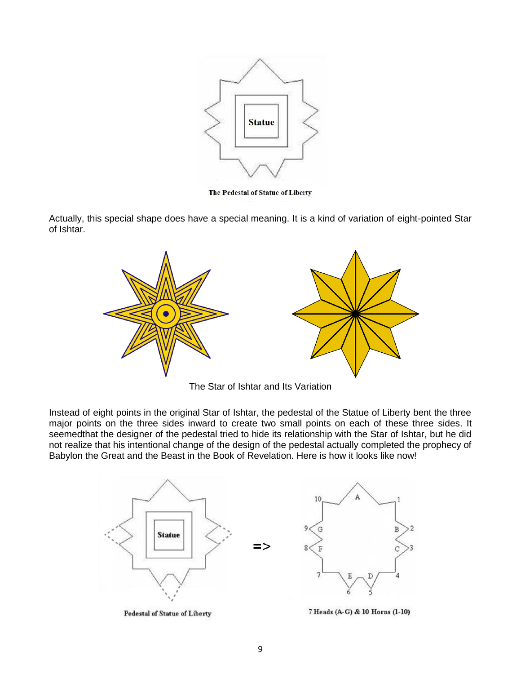

The Pedestal of Statue of Liberty

Actually, this special shape does have a special meaning. It is a kind of variation of eight-pointed Star of Ishtar.



The Star of Ishtar and Its Variation

Instead of eight points in the original Star of Ishtar, the pedestal of the Statue of Liberty bent the three major points on the three sides inward to create two small points on each of these three sides. It seemedthat the designer of the pedestal tried to hide its relationship with the Star of Ishtar, but he did not realize that his intentional change of the design of the pedestal actually completed the prophecy of Babylon the Great and the Beast in the Book of Revelation. Here is how it looks like now!



**Pedestal of Statue of Liberty** 

7 Heads (A-G) & 10 Horns (1-10)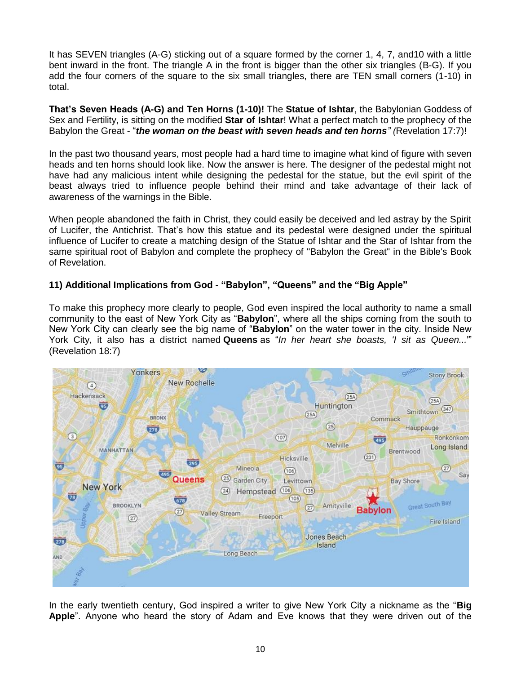It has SEVEN triangles (A-G) sticking out of a square formed by the corner 1, 4, 7, and10 with a little bent inward in the front. The triangle A in the front is bigger than the other six triangles (B-G). If you add the four corners of the square to the six small triangles, there are TEN small corners (1-10) in total.

**That's Seven Heads (A-G) and Ten Horns (1-10)!** The **Statue of Ishtar**, the Babylonian Goddess of Sex and Fertility, is sitting on the modified **Star of Ishtar**! What a perfect match to the prophecy of the Babylon the Great - "*the woman on the beast with seven heads and ten horns" (*Revelation 17:7)!

In the past two thousand years, most people had a hard time to imagine what kind of figure with seven heads and ten horns should look like. Now the answer is here. The designer of the pedestal might not have had any malicious intent while designing the pedestal for the statue, but the evil spirit of the beast always tried to influence people behind their mind and take advantage of their lack of awareness of the warnings in the Bible.

When people abandoned the faith in Christ, they could easily be deceived and led astray by the Spirit of Lucifer, the Antichrist. That's how this statue and its pedestal were designed under the spiritual influence of Lucifer to create a matching design of the Statue of Ishtar and the Star of Ishtar from the same spiritual root of Babylon and complete the prophecy of "Babylon the Great" in the Bible's Book of Revelation.

#### **11) Additional Implications from God - "Babylon", "Queens" and the "Big Apple"**

To make this prophecy more clearly to people, God even inspired the local authority to name a small community to the east of New York City as "**Babylon**", where all the ships coming from the south to New York City can clearly see the big name of "**Babylon**" on the water tower in the city. Inside New York City, it also has a district named **Queens** as "*In her heart she boasts, 'I sit as Queen...*'" (Revelation 18:7)



In the early twentieth century, God inspired a writer to give New York City a nickname as the "**Big Apple**". Anyone who heard the story of Adam and Eve knows that they were driven out of the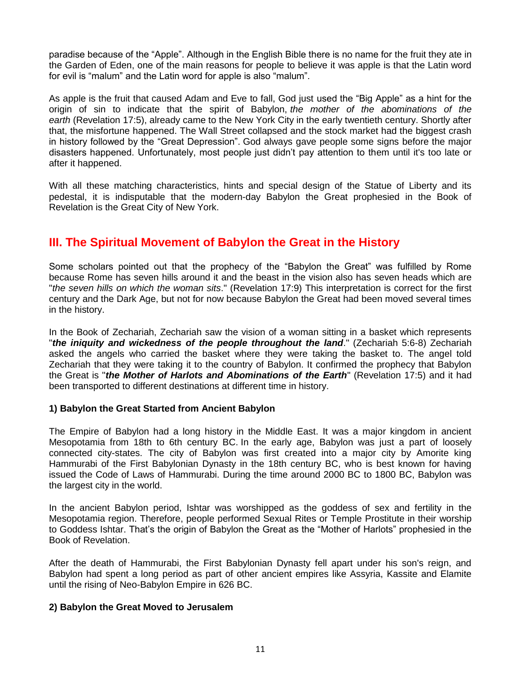paradise because of the "Apple". Although in the English Bible there is no name for the fruit they ate in the Garden of Eden, one of the main reasons for people to believe it was apple is that the Latin word for evil is "malum" and the Latin word for apple is also "malum".

As apple is the fruit that caused Adam and Eve to fall, God just used the "Big Apple" as a hint for the origin of sin to indicate that the spirit of Babylon, *the mother of the abominations of the earth* (Revelation 17:5), already came to the New York City in the early twentieth century. Shortly after that, the misfortune happened. The Wall Street collapsed and the stock market had the biggest crash in history followed by the "Great Depression". God always gave people some signs before the major disasters happened. Unfortunately, most people just didn't pay attention to them until it's too late or after it happened.

With all these matching characteristics, hints and special design of the Statue of Liberty and its pedestal, it is indisputable that the modern-day Babylon the Great prophesied in the Book of Revelation is the Great City of New York.

## **III. The Spiritual Movement of Babylon the Great in the History**

Some scholars pointed out that the prophecy of the "Babylon the Great" was fulfilled by Rome because Rome has seven hills around it and the beast in the vision also has seven heads which are "*the seven hills on which the woman sits*." (Revelation 17:9) This interpretation is correct for the first century and the Dark Age, but not for now because Babylon the Great had been moved several times in the history.

In the Book of Zechariah, Zechariah saw the vision of a woman sitting in a basket which represents "*the iniquity and wickedness of the people throughout the land*." (Zechariah 5:6-8) Zechariah asked the angels who carried the basket where they were taking the basket to. The angel told Zechariah that they were taking it to the country of Babylon. It confirmed the prophecy that Babylon the Great is "*the Mother of Harlots and Abominations of the Earth*" (Revelation 17:5) and it had been transported to different destinations at different time in history.

#### **1) Babylon the Great Started from Ancient Babylon**

The Empire of Babylon had a long history in the Middle East. It was a major kingdom in ancient Mesopotamia from 18th to 6th century BC. In the early age, Babylon was just a part of loosely connected city-states. The city of Babylon was first created into a major city by Amorite king Hammurabi of the First Babylonian Dynasty in the 18th century BC, who is best known for having issued the Code of Laws of Hammurabi. During the time around 2000 BC to 1800 BC, Babylon was the largest city in the world.

In the ancient Babylon period, Ishtar was worshipped as the goddess of sex and fertility in the Mesopotamia region. Therefore, people performed Sexual Rites or Temple Prostitute in their worship to Goddess Ishtar. That's the origin of Babylon the Great as the "Mother of Harlots" prophesied in the Book of Revelation.

After the death of Hammurabi, the First Babylonian Dynasty fell apart under his son's reign, and Babylon had spent a long period as part of other ancient empires like Assyria, Kassite and Elamite until the rising of Neo-Babylon Empire in 626 BC.

#### **2) Babylon the Great Moved to Jerusalem**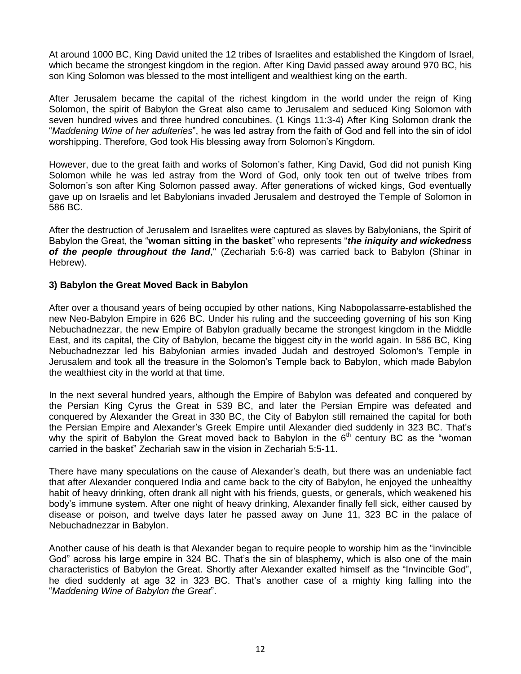At around 1000 BC, King David united the 12 tribes of Israelites and established the Kingdom of Israel, which became the strongest kingdom in the region. After King David passed away around 970 BC, his son King Solomon was blessed to the most intelligent and wealthiest king on the earth.

After Jerusalem became the capital of the richest kingdom in the world under the reign of King Solomon, the spirit of Babylon the Great also came to Jerusalem and seduced King Solomon with seven hundred wives and three hundred concubines. (1 Kings 11:3-4) After King Solomon drank the "*Maddening Wine of her adulteries*", he was led astray from the faith of God and fell into the sin of idol worshipping. Therefore, God took His blessing away from Solomon's Kingdom.

However, due to the great faith and works of Solomon's father, King David, God did not punish King Solomon while he was led astray from the Word of God, only took ten out of twelve tribes from Solomon's son after King Solomon passed away. After generations of wicked kings, God eventually gave up on Israelis and let Babylonians invaded Jerusalem and destroyed the Temple of Solomon in 586 BC.

After the destruction of Jerusalem and Israelites were captured as slaves by Babylonians, the Spirit of Babylon the Great, the "**woman sitting in the basket**" who represents "*the iniquity and wickedness of the people throughout the land*," (Zechariah 5:6-8) was carried back to Babylon (Shinar in Hebrew).

#### **3) Babylon the Great Moved Back in Babylon**

After over a thousand years of being occupied by other nations, King Nabopolassarre-established the new Neo-Babylon Empire in 626 BC. Under his ruling and the succeeding governing of his son King Nebuchadnezzar, the new Empire of Babylon gradually became the strongest kingdom in the Middle East, and its capital, the City of Babylon, became the biggest city in the world again. In 586 BC, King Nebuchadnezzar led his Babylonian armies invaded Judah and destroyed Solomon's Temple in Jerusalem and took all the treasure in the Solomon's Temple back to Babylon, which made Babylon the wealthiest city in the world at that time.

In the next several hundred years, although the Empire of Babylon was defeated and conquered by the Persian King Cyrus the Great in 539 BC, and later the Persian Empire was defeated and conquered by Alexander the Great in 330 BC, the City of Babylon still remained the capital for both the Persian Empire and Alexander's Greek Empire until Alexander died suddenly in 323 BC. That's why the spirit of Babylon the Great moved back to Babylon in the  $6<sup>th</sup>$  century BC as the "woman carried in the basket" Zechariah saw in the vision in Zechariah 5:5-11.

There have many speculations on the cause of Alexander's death, but there was an undeniable fact that after Alexander conquered India and came back to the city of Babylon, he enjoyed the unhealthy habit of heavy drinking, often drank all night with his friends, guests, or generals, which weakened his body's immune system. After one night of heavy drinking, Alexander finally fell sick, either caused by disease or poison, and twelve days later he passed away on June 11, 323 BC in the palace of Nebuchadnezzar in Babylon.

Another cause of his death is that Alexander began to require people to worship him as the "invincible God" across his large empire in 324 BC. That's the sin of blasphemy, which is also one of the main characteristics of Babylon the Great. Shortly after Alexander exalted himself as the "Invincible God", he died suddenly at age 32 in 323 BC. That's another case of a mighty king falling into the "*Maddening Wine of Babylon the Great*".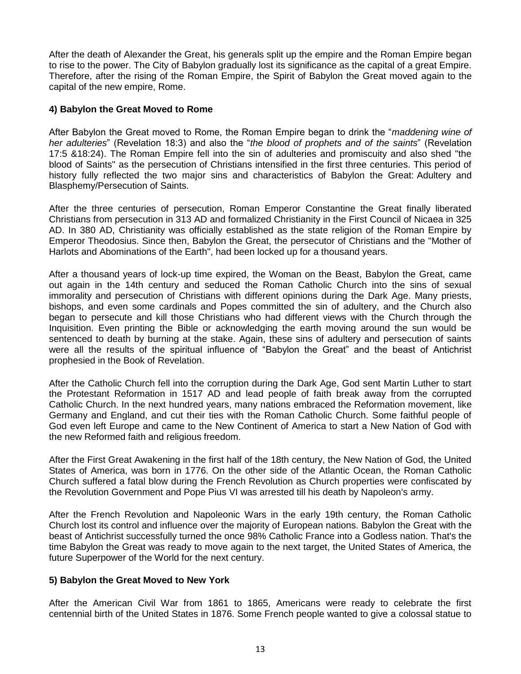After the death of Alexander the Great, his generals split up the empire and the Roman Empire began to rise to the power. The City of Babylon gradually lost its significance as the capital of a great Empire. Therefore, after the rising of the Roman Empire, the Spirit of Babylon the Great moved again to the capital of the new empire, Rome.

#### **4) Babylon the Great Moved to Rome**

After Babylon the Great moved to Rome, the Roman Empire began to drink the "*maddening wine of her adulteries*" (Revelation 18:3) and also the "*the blood of prophets and of the saints*" (Revelation 17:5 &18:24). The Roman Empire fell into the sin of adulteries and promiscuity and also shed "the blood of Saints" as the persecution of Christians intensified in the first three centuries. This period of history fully reflected the two major sins and characteristics of Babylon the Great: Adultery and Blasphemy/Persecution of Saints.

After the three centuries of persecution, Roman Emperor Constantine the Great finally liberated Christians from persecution in 313 AD and formalized Christianity in the First Council of Nicaea in 325 AD. In 380 AD, Christianity was officially established as the state religion of the Roman Empire by Emperor Theodosius. Since then, Babylon the Great, the persecutor of Christians and the "Mother of Harlots and Abominations of the Earth", had been locked up for a thousand years.

After a thousand years of lock-up time expired, the Woman on the Beast, Babylon the Great, came out again in the 14th century and seduced the Roman Catholic Church into the sins of sexual immorality and persecution of Christians with different opinions during the Dark Age. Many priests, bishops, and even some cardinals and Popes committed the sin of adultery, and the Church also began to persecute and kill those Christians who had different views with the Church through the Inquisition. Even printing the Bible or acknowledging the earth moving around the sun would be sentenced to death by burning at the stake. Again, these sins of adultery and persecution of saints were all the results of the spiritual influence of "Babylon the Great" and the beast of Antichrist prophesied in the Book of Revelation.

After the Catholic Church fell into the corruption during the Dark Age, God sent Martin Luther to start the Protestant Reformation in 1517 AD and lead people of faith break away from the corrupted Catholic Church. In the next hundred years, many nations embraced the Reformation movement, like Germany and England, and cut their ties with the Roman Catholic Church. Some faithful people of God even left Europe and came to the New Continent of America to start a New Nation of God with the new Reformed faith and religious freedom.

After the First Great Awakening in the first half of the 18th century, the New Nation of God, the United States of America, was born in 1776. On the other side of the Atlantic Ocean, the Roman Catholic Church suffered a fatal blow during the French Revolution as Church properties were confiscated by the Revolution Government and Pope Pius VI was arrested till his death by Napoleon's army.

After the French Revolution and Napoleonic Wars in the early 19th century, the Roman Catholic Church lost its control and influence over the majority of European nations. Babylon the Great with the beast of Antichrist successfully turned the once 98% Catholic France into a Godless nation. That's the time Babylon the Great was ready to move again to the next target, the United States of America, the future Superpower of the World for the next century.

#### **5) Babylon the Great Moved to New York**

After the American Civil War from 1861 to 1865, Americans were ready to celebrate the first centennial birth of the United States in 1876. Some French people wanted to give a colossal statue to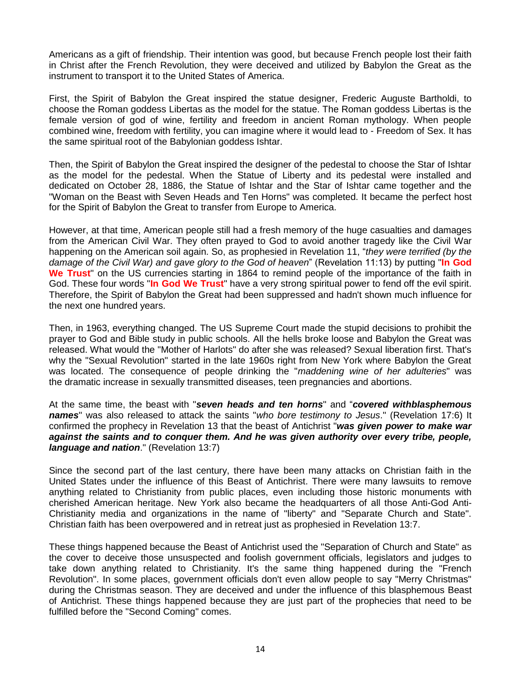Americans as a gift of friendship. Their intention was good, but because French people lost their faith in Christ after the French Revolution, they were deceived and utilized by Babylon the Great as the instrument to transport it to the United States of America.

First, the Spirit of Babylon the Great inspired the statue designer, Frederic Auguste Bartholdi, to choose the Roman goddess Libertas as the model for the statue. The Roman goddess Libertas is the female version of god of wine, fertility and freedom in ancient Roman mythology. When people combined wine, freedom with fertility, you can imagine where it would lead to - Freedom of Sex. It has the same spiritual root of the Babylonian goddess Ishtar.

Then, the Spirit of Babylon the Great inspired the designer of the pedestal to choose the Star of Ishtar as the model for the pedestal. When the Statue of Liberty and its pedestal were installed and dedicated on October 28, 1886, the Statue of Ishtar and the Star of Ishtar came together and the "Woman on the Beast with Seven Heads and Ten Horns" was completed. It became the perfect host for the Spirit of Babylon the Great to transfer from Europe to America.

However, at that time, American people still had a fresh memory of the huge casualties and damages from the American Civil War. They often prayed to God to avoid another tragedy like the Civil War happening on the American soil again. So, as prophesied in Revelation 11, "*they were terrified (by the damage of the Civil War) and gave glory to the God of heaven*" (Revelation 11:13) by putting "**In God We Trust**" on the US currencies starting in 1864 to remind people of the importance of the faith in God. These four words "**In God We Trust**" have a very strong spiritual power to fend off the evil spirit. Therefore, the Spirit of Babylon the Great had been suppressed and hadn't shown much influence for the next one hundred years.

Then, in 1963, everything changed. The US Supreme Court made the stupid decisions to prohibit the prayer to God and Bible study in public schools. All the hells broke loose and Babylon the Great was released. What would the "Mother of Harlots" do after she was released? Sexual liberation first. That's why the "Sexual Revolution" started in the late 1960s right from New York where Babylon the Great was located. The consequence of people drinking the "*maddening wine of her adulteries*" was the dramatic increase in sexually transmitted diseases, teen pregnancies and abortions.

At the same time, the beast with "*seven heads and ten horns*" and "*covered withblasphemous names*" was also released to attack the saints "*who bore testimony to Jesus*." (Revelation 17:6) It confirmed the prophecy in Revelation 13 that the beast of Antichrist "*was given power to make war against the saints and to conquer them. And he was given authority over every tribe, people, language and nation*." (Revelation 13:7)

Since the second part of the last century, there have been many attacks on Christian faith in the United States under the influence of this Beast of Antichrist. There were many lawsuits to remove anything related to Christianity from public places, even including those historic monuments with cherished American heritage. New York also became the headquarters of all those Anti-God Anti-Christianity media and organizations in the name of "liberty" and "Separate Church and State". Christian faith has been overpowered and in retreat just as prophesied in Revelation 13:7.

These things happened because the Beast of Antichrist used the "Separation of Church and State" as the cover to deceive those unsuspected and foolish government officials, legislators and judges to take down anything related to Christianity. It's the same thing happened during the "French Revolution". In some places, government officials don't even allow people to say "Merry Christmas" during the Christmas season. They are deceived and under the influence of this blasphemous Beast of Antichrist. These things happened because they are just part of the prophecies that need to be fulfilled before the "Second Coming" comes.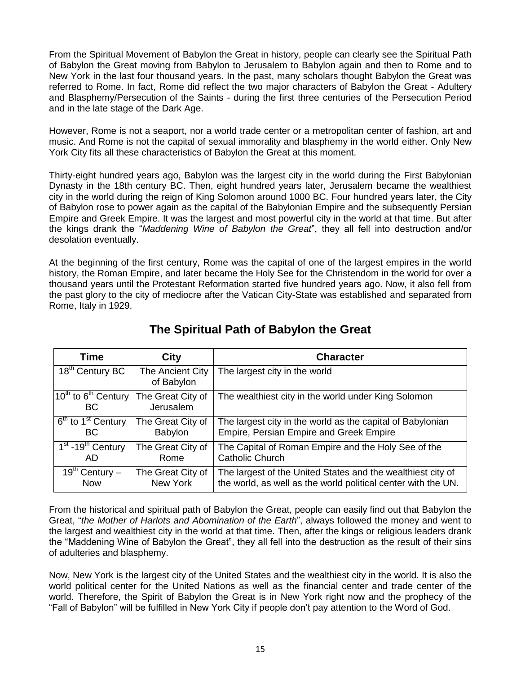From the Spiritual Movement of Babylon the Great in history, people can clearly see the Spiritual Path of Babylon the Great moving from Babylon to Jerusalem to Babylon again and then to Rome and to New York in the last four thousand years. In the past, many scholars thought Babylon the Great was referred to Rome. In fact, Rome did reflect the two major characters of Babylon the Great - Adultery and Blasphemy/Persecution of the Saints - during the first three centuries of the Persecution Period and in the late stage of the Dark Age.

However, Rome is not a seaport, nor a world trade center or a metropolitan center of fashion, art and music. And Rome is not the capital of sexual immorality and blasphemy in the world either. Only New York City fits all these characteristics of Babylon the Great at this moment.

Thirty-eight hundred years ago, Babylon was the largest city in the world during the First Babylonian Dynasty in the 18th century BC. Then, eight hundred years later, Jerusalem became the wealthiest city in the world during the reign of King Solomon around 1000 BC. Four hundred years later, the City of Babylon rose to power again as the capital of the Babylonian Empire and the subsequently Persian Empire and Greek Empire. It was the largest and most powerful city in the world at that time. But after the kings drank the "*Maddening Wine of Babylon the Great*", they all fell into destruction and/or desolation eventually.

At the beginning of the first century, Rome was the capital of one of the largest empires in the world history, the Roman Empire, and later became the Holy See for the Christendom in the world for over a thousand years until the Protestant Reformation started five hundred years ago. Now, it also fell from the past glory to the city of mediocre after the Vatican City-State was established and separated from Rome, Italy in 1929.

| Time                                       | City                           | <b>Character</b>                                              |
|--------------------------------------------|--------------------------------|---------------------------------------------------------------|
| 18 <sup>th</sup> Century BC                | The Ancient City<br>of Babylon | The largest city in the world                                 |
| $10^{th}$ to $6^{th}$ Century<br><b>BC</b> | The Great City of<br>Jerusalem | The wealthiest city in the world under King Solomon           |
| $6th$ to 1 <sup>st</sup> Century           | The Great City of              | The largest city in the world as the capital of Babylonian    |
| <b>BC</b>                                  | Babylon                        | Empire, Persian Empire and Greek Empire                       |
| $1st - 19th$ Century                       | The Great City of              | The Capital of Roman Empire and the Holy See of the           |
| AD                                         | Rome                           | <b>Catholic Church</b>                                        |
| $19th$ Century –                           | The Great City of              | The largest of the United States and the wealthiest city of   |
| <b>Now</b>                                 | New York                       | the world, as well as the world political center with the UN. |

# **The Spiritual Path of Babylon the Great**

From the historical and spiritual path of Babylon the Great, people can easily find out that Babylon the Great, "*the Mother of Harlots and Abomination of the Earth*", always followed the money and went to the largest and wealthiest city in the world at that time. Then, after the kings or religious leaders drank the "Maddening Wine of Babylon the Great", they all fell into the destruction as the result of their sins of adulteries and blasphemy.

Now, New York is the largest city of the United States and the wealthiest city in the world. It is also the world political center for the United Nations as well as the financial center and trade center of the world. Therefore, the Spirit of Babylon the Great is in New York right now and the prophecy of the "Fall of Babylon" will be fulfilled in New York City if people don't pay attention to the Word of God.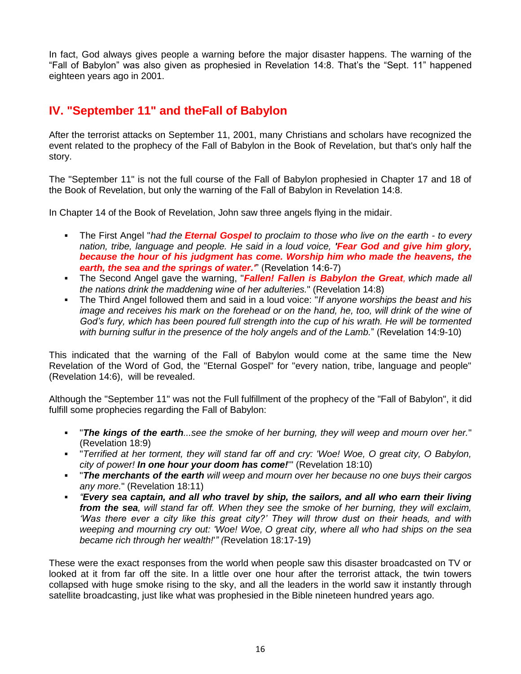In fact, God always gives people a warning before the major disaster happens. The warning of the "Fall of Babylon" was also given as prophesied in Revelation 14:8. That's the "Sept. 11" happened eighteen years ago in 2001.

## **IV. "September 11" and theFall of Babylon**

After the terrorist attacks on September 11, 2001, many Christians and scholars have recognized the event related to the prophecy of the Fall of Babylon in the Book of Revelation, but that's only half the story.

The "September 11" is not the full course of the Fall of Babylon prophesied in Chapter 17 and 18 of the Book of Revelation, but only the warning of the Fall of Babylon in Revelation 14:8.

In Chapter 14 of the Book of Revelation, John saw three angels flying in the midair.

- The First Angel "*had the Eternal Gospel to proclaim to those who live on the earth - to every nation, tribe, language and people. He said in a loud voice, 'Fear God and give him glory, because the hour of his judgment has come. Worship him who made the heavens, the earth, the sea and the springs of water.'*" (Revelation 14:6-7)
- The Second Angel gave the warning, "*Fallen! Fallen is Babylon the Great, which made all the nations drink the maddening wine of her adulteries.*" (Revelation 14:8)
- The Third Angel followed them and said in a loud voice: "*If anyone worships the beast and his image and receives his mark on the forehead or on the hand, he, too, will drink of the wine of God"s fury, which has been poured full strength into the cup of his wrath. He will be tormented with burning sulfur in the presence of the holy angels and of the Lamb.*" (Revelation 14:9-10)

This indicated that the warning of the Fall of Babylon would come at the same time the New Revelation of the Word of God, the "Eternal Gospel" for "every nation, tribe, language and people" (Revelation 14:6), will be revealed.

Although the "September 11" was not the Full fulfillment of the prophecy of the "Fall of Babylon", it did fulfill some prophecies regarding the Fall of Babylon:

- "*The kings of the earth...see the smoke of her burning, they will weep and mourn over her.*" (Revelation 18:9)
- "*Terrified at her torment, they will stand far off and cry: 'Woe! Woe, O great city, O Babylon, city of power! In one hour your doom has come!*'" (Revelation 18:10)
- "*The merchants of the earth will weep and mourn over her because no one buys their cargos any more.*" (Revelation 18:11)
- *"Every sea captain, and all who travel by ship, the sailors, and all who earn their living from the sea, will stand far off. When they see the smoke of her burning, they will exclaim, "Was there ever a city like this great city?" They will throw dust on their heads, and with weeping and mourning cry out: 'Woe! Woe, O great city, where all who had ships on the sea became rich through her wealth!*'*" (*Revelation 18:17-19)

These were the exact responses from the world when people saw this disaster broadcasted on TV or looked at it from far off the site. In a little over one hour after the terrorist attack, the twin towers collapsed with huge smoke rising to the sky, and all the leaders in the world saw it instantly through satellite broadcasting, just like what was prophesied in the Bible nineteen hundred years ago.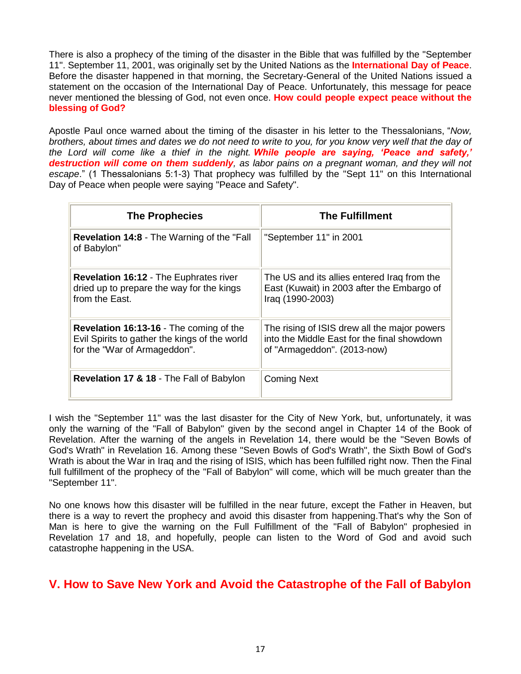There is also a prophecy of the timing of the disaster in the Bible that was fulfilled by the "September 11". September 11, 2001, was originally set by the United Nations as the **International Day of Peace**. Before the disaster happened in that morning, the Secretary-General of the United Nations issued a statement on the occasion of the International Day of Peace. Unfortunately, this message for peace never mentioned the blessing of God, not even once. **How could people expect peace without the blessing of God?**

Apostle Paul once warned about the timing of the disaster in his letter to the Thessalonians, "*Now, brothers, about times and dates we do not need to write to you, for you know very well that the day of the Lord will come like a thief in the night. While people are saying, 'Peace and safety,' destruction will come on them suddenly, as labor pains on a pregnant woman, and they will not escape*." (1 Thessalonians 5:1-3) That prophecy was fulfilled by the "Sept 11" on this International Day of Peace when people were saying "Peace and Safety".

| <b>The Prophecies</b>                                                                                                           | <b>The Fulfillment</b>                                                                                                     |
|---------------------------------------------------------------------------------------------------------------------------------|----------------------------------------------------------------------------------------------------------------------------|
| <b>Revelation 14:8 - The Warning of the "Fall</b><br>of Babylon"                                                                | "September 11" in 2001                                                                                                     |
| <b>Revelation 16:12 - The Euphrates river</b><br>dried up to prepare the way for the kings<br>from the East.                    | The US and its allies entered Iraq from the<br>East (Kuwait) in 2003 after the Embargo of<br>Iraq (1990-2003)              |
| <b>Revelation 16:13-16 - The coming of the</b><br>Evil Spirits to gather the kings of the world<br>for the "War of Armageddon". | The rising of ISIS drew all the major powers<br>into the Middle East for the final showdown<br>of "Armageddon". (2013-now) |
| Revelation 17 & 18 - The Fall of Babylon                                                                                        | <b>Coming Next</b>                                                                                                         |

I wish the "September 11" was the last disaster for the City of New York, but, unfortunately, it was only the warning of the "Fall of Babylon" given by the second angel in Chapter 14 of the Book of Revelation. After the warning of the angels in Revelation 14, there would be the "Seven Bowls of God's Wrath" in Revelation 16. Among these "Seven Bowls of God's Wrath", the Sixth Bowl of God's Wrath is about the War in Iraq and the rising of ISIS, which has been fulfilled right now. Then the Final full fulfillment of the prophecy of the "Fall of Babylon" will come, which will be much greater than the "September 11".

No one knows how this disaster will be fulfilled in the near future, except the Father in Heaven, but there is a way to revert the prophecy and avoid this disaster from happening.That's why the Son of Man is here to give the warning on the Full Fulfillment of the "Fall of Babylon" prophesied in Revelation 17 and 18, and hopefully, people can listen to the Word of God and avoid such catastrophe happening in the USA.

### **V. How to Save New York and Avoid the Catastrophe of the Fall of Babylon**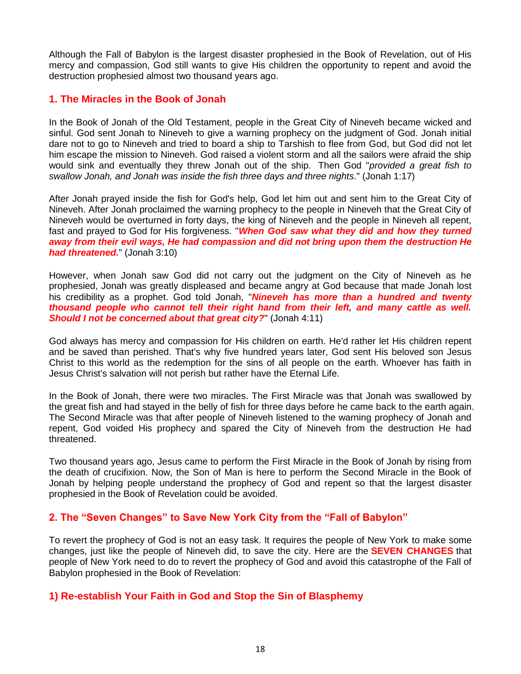Although the Fall of Babylon is the largest disaster prophesied in the Book of Revelation, out of His mercy and compassion, God still wants to give His children the opportunity to repent and avoid the destruction prophesied almost two thousand years ago.

#### **1. The Miracles in the Book of Jonah**

In the Book of Jonah of the Old Testament, people in the Great City of Nineveh became wicked and sinful. God sent Jonah to Nineveh to give a warning prophecy on the judgment of God. Jonah initial dare not to go to Nineveh and tried to board a ship to Tarshish to flee from God, but God did not let him escape the mission to Nineveh. God raised a violent storm and all the sailors were afraid the ship would sink and eventually they threw Jonah out of the ship. Then God "*provided a great fish to swallow Jonah, and Jonah was inside the fish three days and three nights*." (Jonah 1:17)

After Jonah prayed inside the fish for God's help, God let him out and sent him to the Great City of Nineveh. After Jonah proclaimed the warning prophecy to the people in Nineveh that the Great City of Nineveh would be overturned in forty days, the king of Nineveh and the people in Nineveh all repent, fast and prayed to God for His forgiveness. "*When God saw what they did and how they turned away from their evil ways, He had compassion and did not bring upon them the destruction He had threatened.*" (Jonah 3:10)

However, when Jonah saw God did not carry out the judgment on the City of Nineveh as he prophesied, Jonah was greatly displeased and became angry at God because that made Jonah lost his credibility as a prophet. God told Jonah, "*Nineveh has more than a hundred and twenty thousand people who cannot tell their right hand from their left, and many cattle as well. Should I not be concerned about that great city?*" (Jonah 4:11)

God always has mercy and compassion for His children on earth. He'd rather let His children repent and be saved than perished. That's why five hundred years later, God sent His beloved son Jesus Christ to this world as the redemption for the sins of all people on the earth. Whoever has faith in Jesus Christ's salvation will not perish but rather have the Eternal Life.

In the Book of Jonah, there were two miracles. The First Miracle was that Jonah was swallowed by the great fish and had stayed in the belly of fish for three days before he came back to the earth again. The Second Miracle was that after people of Nineveh listened to the warning prophecy of Jonah and repent, God voided His prophecy and spared the City of Nineveh from the destruction He had threatened.

Two thousand years ago, Jesus came to perform the First Miracle in the Book of Jonah by rising from the death of crucifixion. Now, the Son of Man is here to perform the Second Miracle in the Book of Jonah by helping people understand the prophecy of God and repent so that the largest disaster prophesied in the Book of Revelation could be avoided.

#### **2. The "Seven Changes" to Save New York City from the "Fall of Babylon"**

To revert the prophecy of God is not an easy task. It requires the people of New York to make some changes, just like the people of Nineveh did, to save the city. Here are the **SEVEN CHANGES** that people of New York need to do to revert the prophecy of God and avoid this catastrophe of the Fall of Babylon prophesied in the Book of Revelation:

#### **1) Re-establish Your Faith in God and Stop the Sin of Blasphemy**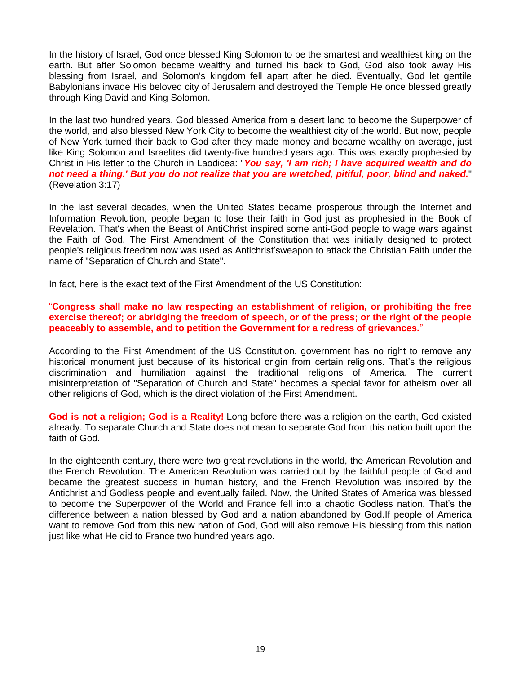In the history of Israel, God once blessed King Solomon to be the smartest and wealthiest king on the earth. But after Solomon became wealthy and turned his back to God, God also took away His blessing from Israel, and Solomon's kingdom fell apart after he died. Eventually, God let gentile Babylonians invade His beloved city of Jerusalem and destroyed the Temple He once blessed greatly through King David and King Solomon.

In the last two hundred years, God blessed America from a desert land to become the Superpower of the world, and also blessed New York City to become the wealthiest city of the world. But now, people of New York turned their back to God after they made money and became wealthy on average, just like King Solomon and Israelites did twenty-five hundred years ago. This was exactly prophesied by Christ in His letter to the Church in Laodicea: "*You say, 'I am rich; I have acquired wealth and do not need a thing.' But you do not realize that you are wretched, pitiful, poor, blind and naked.*" (Revelation 3:17)

In the last several decades, when the United States became prosperous through the Internet and Information Revolution, people began to lose their faith in God just as prophesied in the Book of Revelation. That's when the Beast of AntiChrist inspired some anti-God people to wage wars against the Faith of God. The First Amendment of the Constitution that was initially designed to protect people's religious freedom now was used as Antichrist'sweapon to attack the Christian Faith under the name of "Separation of Church and State".

In fact, here is the exact text of the First Amendment of the US Constitution:

"**Congress shall make no law respecting an establishment of religion, or prohibiting the free exercise thereof; or abridging the freedom of speech, or of the press; or the right of the people peaceably to assemble, and to petition the Government for a redress of grievances.**"

According to the First Amendment of the US Constitution, government has no right to remove any historical monument just because of its historical origin from certain religions. That's the religious discrimination and humiliation against the traditional religions of America. The current misinterpretation of "Separation of Church and State" becomes a special favor for atheism over all other religions of God, which is the direct violation of the First Amendment.

**God is not a religion; God is a Reality!** Long before there was a religion on the earth, God existed already. To separate Church and State does not mean to separate God from this nation built upon the faith of God.

In the eighteenth century, there were two great revolutions in the world, the American Revolution and the French Revolution. The American Revolution was carried out by the faithful people of God and became the greatest success in human history, and the French Revolution was inspired by the Antichrist and Godless people and eventually failed. Now, the United States of America was blessed to become the Superpower of the World and France fell into a chaotic Godless nation. That's the difference between a nation blessed by God and a nation abandoned by God.If people of America want to remove God from this new nation of God, God will also remove His blessing from this nation just like what He did to France two hundred years ago.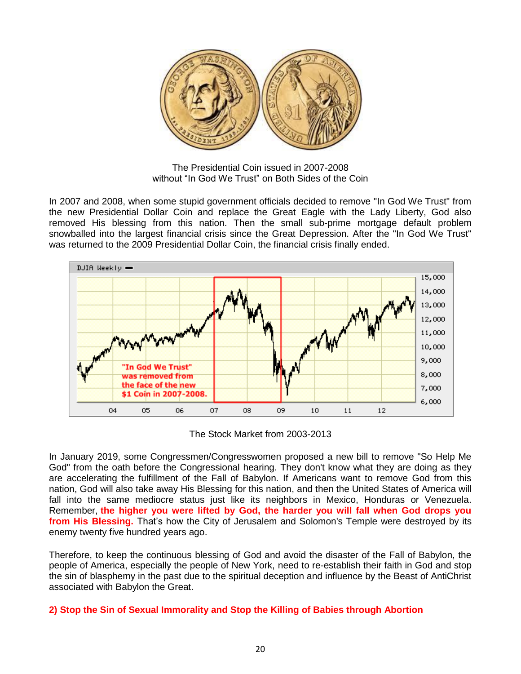

The Presidential Coin issued in 2007-2008 without "In God We Trust" on Both Sides of the Coin

In 2007 and 2008, when some stupid government officials decided to remove "In God We Trust" from the new Presidential Dollar Coin and replace the Great Eagle with the Lady Liberty, God also removed His blessing from this nation. Then the small sub-prime mortgage default problem snowballed into the largest financial crisis since the Great Depression. After the "In God We Trust" was returned to the 2009 Presidential Dollar Coin, the financial crisis finally ended.



The Stock Market from 2003-2013

In January 2019, some Congressmen/Congresswomen proposed a new bill to remove "So Help Me God" from the oath before the Congressional hearing. They don't know what they are doing as they are accelerating the fulfillment of the Fall of Babylon. If Americans want to remove God from this nation, God will also take away His Blessing for this nation, and then the United States of America will fall into the same mediocre status just like its neighbors in Mexico, Honduras or Venezuela. Remember, **the higher you were lifted by God, the harder you will fall when God drops you from His Blessing.** That's how the City of Jerusalem and Solomon's Temple were destroyed by its enemy twenty five hundred years ago.

Therefore, to keep the continuous blessing of God and avoid the disaster of the Fall of Babylon, the people of America, especially the people of New York, need to re-establish their faith in God and stop the sin of blasphemy in the past due to the spiritual deception and influence by the Beast of AntiChrist associated with Babylon the Great.

#### **2) Stop the Sin of Sexual Immorality and Stop the Killing of Babies through Abortion**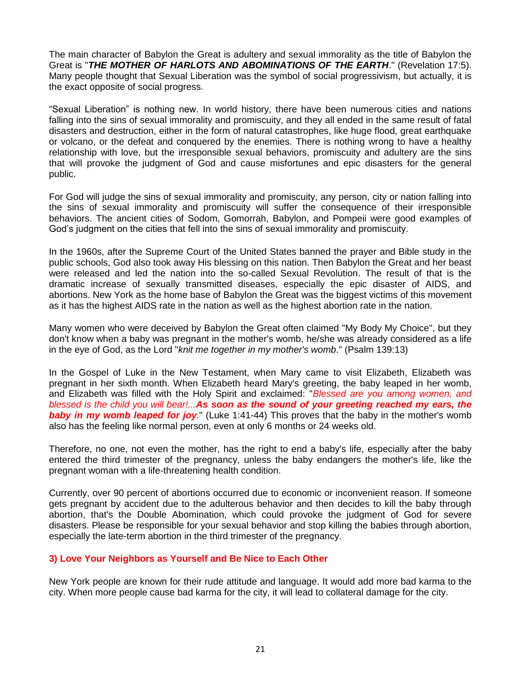The main character of Babylon the Great is adultery and sexual immorality as the title of Babylon the Great is "*THE MOTHER OF HARLOTS AND ABOMINATIONS OF THE EARTH*." (Revelation 17:5). Many people thought that Sexual Liberation was the symbol of social progressivism, but actually, it is the exact opposite of social progress.

"Sexual Liberation" is nothing new. In world history, there have been numerous cities and nations falling into the sins of sexual immorality and promiscuity, and they all ended in the same result of fatal disasters and destruction, either in the form of natural catastrophes, like huge flood, great earthquake or volcano, or the defeat and conquered by the enemies. There is nothing wrong to have a healthy relationship with love, but the irresponsible sexual behaviors, promiscuity and adultery are the sins that will provoke the judgment of God and cause misfortunes and epic disasters for the general public.

For God will judge the sins of sexual immorality and promiscuity, any person, city or nation falling into the sins of sexual immorality and promiscuity will suffer the consequence of their irresponsible behaviors. The ancient cities of Sodom, Gomorrah, Babylon, and Pompeii were good examples of God's judgment on the cities that fell into the sins of sexual immorality and promiscuity.

In the 1960s, after the Supreme Court of the United States banned the prayer and Bible study in the public schools, God also took away His blessing on this nation. Then Babylon the Great and her beast were released and led the nation into the so-called Sexual Revolution. The result of that is the dramatic increase of sexually transmitted diseases, especially the epic disaster of AIDS, and abortions. New York as the home base of Babylon the Great was the biggest victims of this movement as it has the highest AIDS rate in the nation as well as the highest abortion rate in the nation.

Many women who were deceived by Babylon the Great often claimed "My Body My Choice", but they don't know when a baby was pregnant in the mother's womb, he/she was already considered as a life in the eye of God, as the Lord "*knit me together in my mother's womb*." (Psalm 139:13)

In the Gospel of Luke in the New Testament, when Mary came to visit Elizabeth, Elizabeth was pregnant in her sixth month. When Elizabeth heard Mary's greeting, the baby leaped in her womb, and Elizabeth was filled with the Holy Spirit and exclaimed: "*Blessed are you among women, and blessed is the child you will bear!...As soon as the sound of your greeting reached my ears, the baby in my womb leaped for joy.*" (Luke 1:41-44) This proves that the baby in the mother's womb also has the feeling like normal person, even at only 6 months or 24 weeks old.

Therefore, no one, not even the mother, has the right to end a baby's life, especially after the baby entered the third trimester of the pregnancy, unless the baby endangers the mother's life, like the pregnant woman with a life-threatening health condition.

Currently, over 90 percent of abortions occurred due to economic or inconvenient reason. If someone gets pregnant by accident due to the adulterous behavior and then decides to kill the baby through abortion, that's the Double Abomination, which could provoke the judgment of God for severe disasters. Please be responsible for your sexual behavior and stop killing the babies through abortion, especially the late-term abortion in the third trimester of the pregnancy.

#### **3) Love Your Neighbors as Yourself and Be Nice to Each Other**

New York people are known for their rude attitude and language. It would add more bad karma to the city. When more people cause bad karma for the city, it will lead to collateral damage for the city.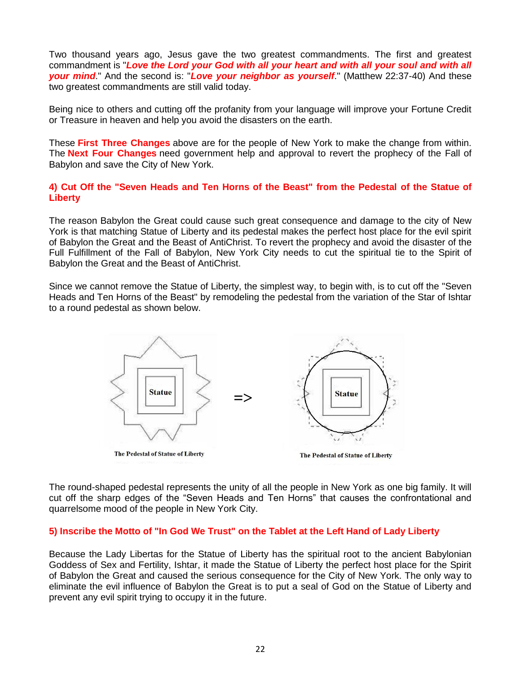Two thousand years ago, Jesus gave the two greatest commandments. The first and greatest commandment is "*Love the Lord your God with all your heart and with all your soul and with all your mind*." And the second is: "*Love your neighbor as yourself*." (Matthew 22:37-40) And these two greatest commandments are still valid today.

Being nice to others and cutting off the profanity from your language will improve your Fortune Credit or Treasure in heaven and help you avoid the disasters on the earth.

These **First Three Changes** above are for the people of New York to make the change from within. The **Next Four Changes** need government help and approval to revert the prophecy of the Fall of Babylon and save the City of New York.

#### **4) Cut Off the "Seven Heads and Ten Horns of the Beast" from the Pedestal of the Statue of Liberty**

The reason Babylon the Great could cause such great consequence and damage to the city of New York is that matching Statue of Liberty and its pedestal makes the perfect host place for the evil spirit of Babylon the Great and the Beast of AntiChrist. To revert the prophecy and avoid the disaster of the Full Fulfillment of the Fall of Babylon, New York City needs to cut the spiritual tie to the Spirit of Babylon the Great and the Beast of AntiChrist.

Since we cannot remove the Statue of Liberty, the simplest way, to begin with, is to cut off the "Seven Heads and Ten Horns of the Beast" by remodeling the pedestal from the variation of the Star of Ishtar to a round pedestal as shown below.



The round-shaped pedestal represents the unity of all the people in New York as one big family. It will cut off the sharp edges of the "Seven Heads and Ten Horns" that causes the confrontational and quarrelsome mood of the people in New York City.

#### **5) Inscribe the Motto of "In God We Trust" on the Tablet at the Left Hand of Lady Liberty**

Because the Lady Libertas for the Statue of Liberty has the spiritual root to the ancient Babylonian Goddess of Sex and Fertility, Ishtar, it made the Statue of Liberty the perfect host place for the Spirit of Babylon the Great and caused the serious consequence for the City of New York. The only way to eliminate the evil influence of Babylon the Great is to put a seal of God on the Statue of Liberty and prevent any evil spirit trying to occupy it in the future.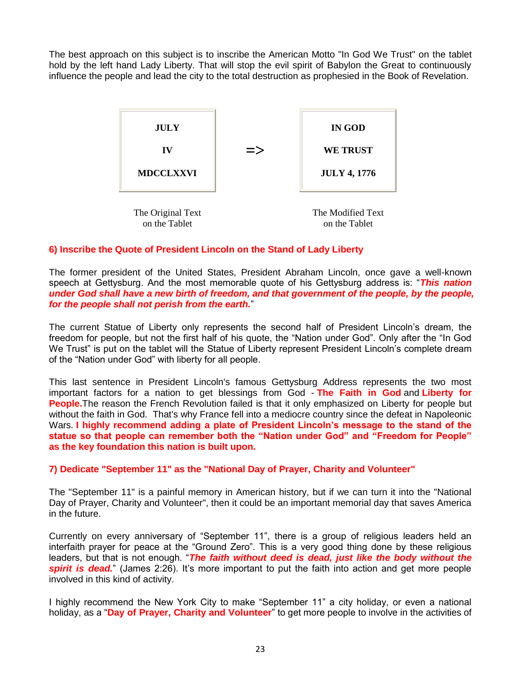The best approach on this subject is to inscribe the American Motto "In God We Trust" on the tablet hold by the left hand Lady Liberty. That will stop the evil spirit of Babylon the Great to continuously influence the people and lead the city to the total destruction as prophesied in the Book of Revelation.



#### **6) Inscribe the Quote of President Lincoln on the Stand of Lady Liberty**

The former president of the United States, President Abraham Lincoln, once gave a well-known speech at Gettysburg. And the most memorable quote of his Gettysburg address is: "*This nation under God shall have a new birth of freedom, and that government of the people, by the people, for the people shall not perish from the earth.*"

The current Statue of Liberty only represents the second half of President Lincoln's dream, the freedom for people, but not the first half of his quote, the "Nation under God". Only after the "In God We Trust" is put on the tablet will the Statue of Liberty represent President Lincoln's complete dream of the "Nation under God" with liberty for all people.

This last sentence in President Lincoln's famous Gettysburg Address represents the two most important factors for a nation to get blessings from God - **The Faith in God** and **Liberty for People.**The reason the French Revolution failed is that it only emphasized on Liberty for people but without the faith in God. That's why France fell into a mediocre country since the defeat in Napoleonic Wars. **I highly recommend adding a plate of President Lincoln's message to the stand of the statue so that people can remember both the "Nation under God" and "Freedom for People" as the key foundation this nation is built upon.**

#### **7) Dedicate "September 11" as the "National Day of Prayer, Charity and Volunteer"**

The "September 11" is a painful memory in American history, but if we can turn it into the "National Day of Prayer, Charity and Volunteer", then it could be an important memorial day that saves America in the future.

Currently on every anniversary of "September 11", there is a group of religious leaders held an interfaith prayer for peace at the "Ground Zero". This is a very good thing done by these religious leaders, but that is not enough. "*The faith without deed is dead, just like the body without the* **spirit is dead.**" (James 2:26). It's more important to put the faith into action and get more people involved in this kind of activity.

I highly recommend the New York City to make "September 11" a city holiday, or even a national holiday, as a "**Day of Prayer, Charity and Volunteer**" to get more people to involve in the activities of